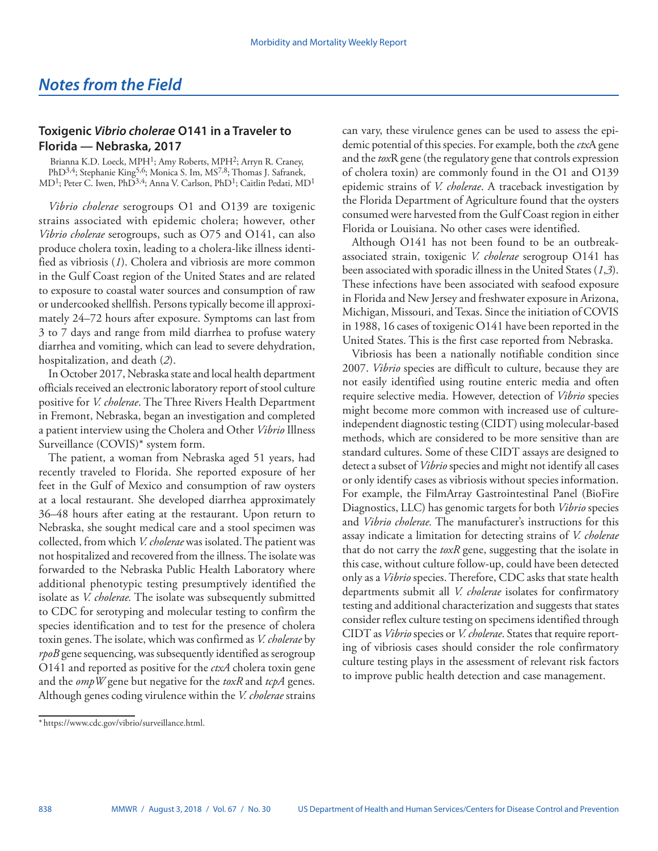## **Toxigenic** *Vibrio cholerae* **O141 in a Traveler to Florida — Nebraska, 2017**

Brianna K.D. Loeck, MPH<sup>1</sup>; Amy Roberts, MPH<sup>2</sup>; Arryn R. Craney, PhD<sup>3,4</sup>; Stephanie King<sup>5,6</sup>; Monica S. Im, MS<sup>7,8</sup>; Thomas J. Safranek, MD<sup>1</sup>; Peter C. Iwen, PhD<sup>3,4</sup>; Anna V. Carlson, PhD<sup>1</sup>; Caitlin Pedati, MD<sup>1</sup>

*Vibrio cholerae* serogroups O1 and O139 are toxigenic strains associated with epidemic cholera; however, other *Vibrio cholerae* serogroups, such as O75 and O141, can also produce cholera toxin, leading to a cholera-like illness identified as vibriosis (*1*). Cholera and vibriosis are more common in the Gulf Coast region of the United States and are related to exposure to coastal water sources and consumption of raw or undercooked shellfish. Persons typically become ill approximately 24–72 hours after exposure. Symptoms can last from 3 to 7 days and range from mild diarrhea to profuse watery diarrhea and vomiting, which can lead to severe dehydration, hospitalization, and death (*2*).

In October 2017, Nebraska state and local health department officials received an electronic laboratory report of stool culture positive for *V. cholerae*. The Three Rivers Health Department in Fremont, Nebraska, began an investigation and completed a patient interview using the Cholera and Other *Vibrio* Illness Surveillance (COVIS)\* system form.

The patient, a woman from Nebraska aged 51 years, had recently traveled to Florida. She reported exposure of her feet in the Gulf of Mexico and consumption of raw oysters at a local restaurant. She developed diarrhea approximately 36–48 hours after eating at the restaurant. Upon return to Nebraska, she sought medical care and a stool specimen was collected, from which *V. cholerae* was isolated. The patient was not hospitalized and recovered from the illness. The isolate was forwarded to the Nebraska Public Health Laboratory where additional phenotypic testing presumptively identified the isolate as *V. cholerae.* The isolate was subsequently submitted to CDC for serotyping and molecular testing to confirm the species identification and to test for the presence of cholera toxin genes. The isolate, which was confirmed as *V. cholerae* by *rpoB* gene sequencing, was subsequently identified as serogroup O141 and reported as positive for the *ctxA* cholera toxin gene and the *ompW* gene but negative for the *toxR* and *tcpA* genes. Although genes coding virulence within the *V. cholerae* strains

can vary, these virulence genes can be used to assess the epidemic potential of this species. For example, both the *ctx*A gene and the *tox*R gene (the regulatory gene that controls expression of cholera toxin) are commonly found in the O1 and O139 epidemic strains of *V. cholerae*. A traceback investigation by the Florida Department of Agriculture found that the oysters consumed were harvested from the Gulf Coast region in either Florida or Louisiana. No other cases were identified.

Although O141 has not been found to be an outbreakassociated strain, toxigenic *V. cholerae* serogroup O141 has been associated with sporadic illness in the United States (*1*,*3*). These infections have been associated with seafood exposure in Florida and New Jersey and freshwater exposure in Arizona, Michigan, Missouri, and Texas. Since the initiation of COVIS in 1988, 16 cases of toxigenic O141 have been reported in the United States. This is the first case reported from Nebraska.

Vibriosis has been a nationally notifiable condition since 2007. *Vibrio* species are difficult to culture, because they are not easily identified using routine enteric media and often require selective media. However, detection of *Vibrio* species might become more common with increased use of cultureindependent diagnostic testing (CIDT) using molecular-based methods, which are considered to be more sensitive than are standard cultures. Some of these CIDT assays are designed to detect a subset of *Vibrio* species and might not identify all cases or only identify cases as vibriosis without species information. For example, the FilmArray Gastrointestinal Panel (BioFire Diagnostics, LLC) has genomic targets for both *Vibrio* species and *Vibrio cholerae.* The manufacturer's instructions for this assay indicate a limitation for detecting strains of *V. cholerae* that do not carry the *toxR* gene, suggesting that the isolate in this case, without culture follow-up, could have been detected only as a *Vibrio* species. Therefore, CDC asks that state health departments submit all *V. cholerae* isolates for confirmatory testing and additional characterization and suggests that states consider reflex culture testing on specimens identified through CIDT as *Vibrio* species or *V. cholerae*. States that require reporting of vibriosis cases should consider the role confirmatory culture testing plays in the assessment of relevant risk factors to improve public health detection and case management.

<sup>\*</sup> [https://www.cdc.gov/vibrio/surveillance.html.](https://www.cdc.gov/vibrio/surveillance.html)